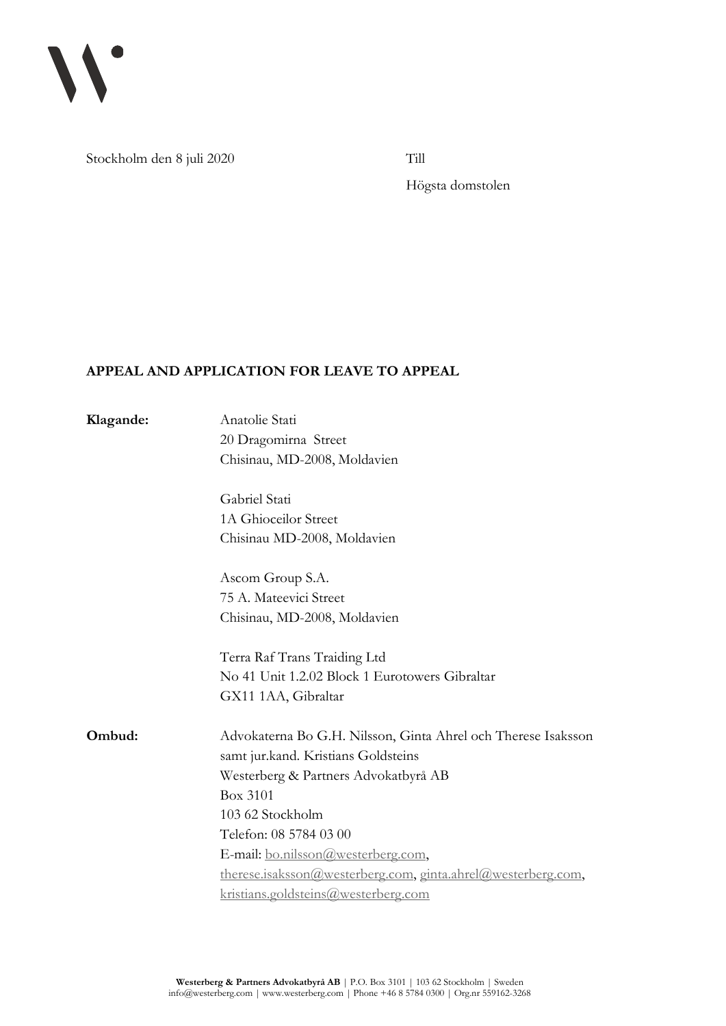

Stockholm den 8 juli 2020 Till

Högsta domstolen

## **APPEAL AND APPLICATION FOR LEAVE TO APPEAL**

| Anatolie Stati<br>20 Dragomirna Street<br>Chisinau, MD-2008, Moldavien                                                                                                                                                                                                                                                                              |
|-----------------------------------------------------------------------------------------------------------------------------------------------------------------------------------------------------------------------------------------------------------------------------------------------------------------------------------------------------|
| Gabriel Stati<br>1A Ghioceilor Street<br>Chisinau MD-2008, Moldavien                                                                                                                                                                                                                                                                                |
| Ascom Group S.A.<br>75 A. Mateevici Street<br>Chisinau, MD-2008, Moldavien                                                                                                                                                                                                                                                                          |
| Terra Raf Trans Traiding Ltd<br>No 41 Unit 1.2.02 Block 1 Eurotowers Gibraltar<br>GX11 1AA, Gibraltar                                                                                                                                                                                                                                               |
| Advokaterna Bo G.H. Nilsson, Ginta Ahrel och Therese Isaksson<br>samt jur.kand. Kristians Goldsteins<br>Westerberg & Partners Advokatbyrå AB<br>Box 3101<br>103 62 Stockholm<br>Telefon: 08 5784 03 00<br>E-mail: bo.nilsson@westerberg.com,<br>therese.isaksson@westerberg.com, ginta.ahrel@westerberg.com,<br>kristians.goldsteins@westerberg.com |
|                                                                                                                                                                                                                                                                                                                                                     |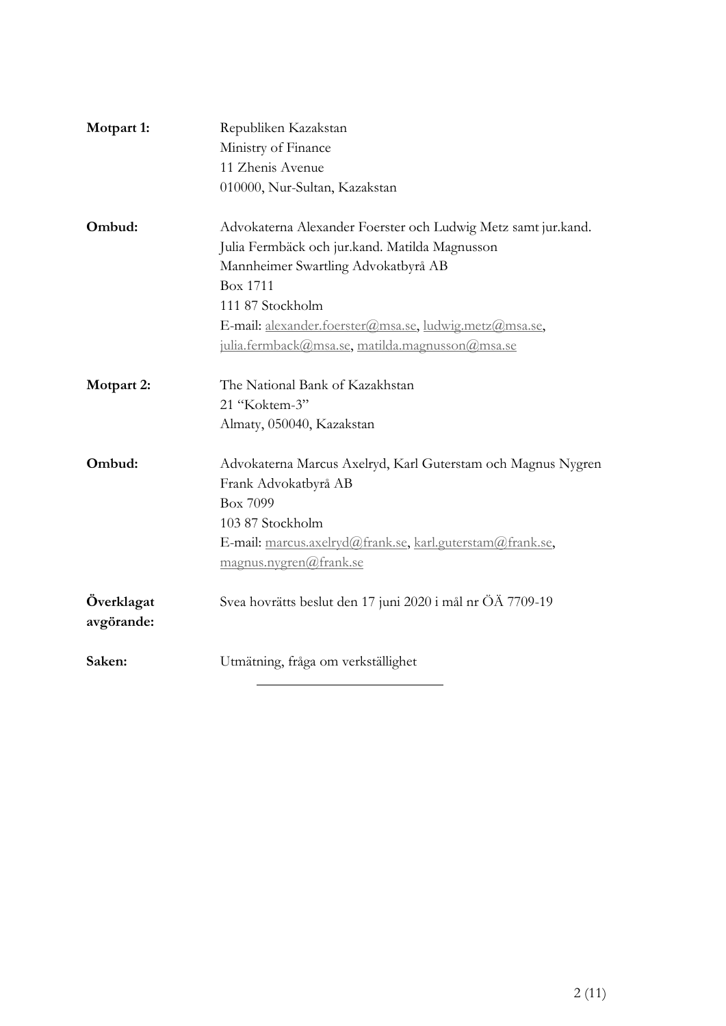| Motpart 1:               | Republiken Kazakstan                                          |
|--------------------------|---------------------------------------------------------------|
|                          | Ministry of Finance                                           |
|                          | 11 Zhenis Avenue                                              |
|                          | 010000, Nur-Sultan, Kazakstan                                 |
| Ombud:                   | Advokaterna Alexander Foerster och Ludwig Metz samt jur.kand. |
|                          | Julia Fermbäck och jur.kand. Matilda Magnusson                |
|                          | Mannheimer Swartling Advokatbyrå AB                           |
|                          | <b>Box 1711</b>                                               |
|                          | 111 87 Stockholm                                              |
|                          | E-mail: alexander.foerster@msa.se, ludwig.metz@msa.se,        |
|                          | julia.fermback@msa.se, matilda.magnusson@msa.se               |
| Motpart 2:               | The National Bank of Kazakhstan                               |
|                          | 21 "Koktem-3"                                                 |
|                          | Almaty, 050040, Kazakstan                                     |
| Ombud:                   | Advokaterna Marcus Axelryd, Karl Guterstam och Magnus Nygren  |
|                          | Frank Advokatbyrå AB                                          |
|                          | Box 7099                                                      |
|                          | 103 87 Stockholm                                              |
|                          | E-mail: marcus.axelryd@frank.se, karl.guterstam@frank.se,     |
|                          | magnus.nygren@frank.se                                        |
| Överklagat<br>avgörande: | Svea hovrätts beslut den 17 juni 2020 i mål nr ÖÄ 7709-19     |
| Saken:                   | Utmätning, fråga om verkställighet                            |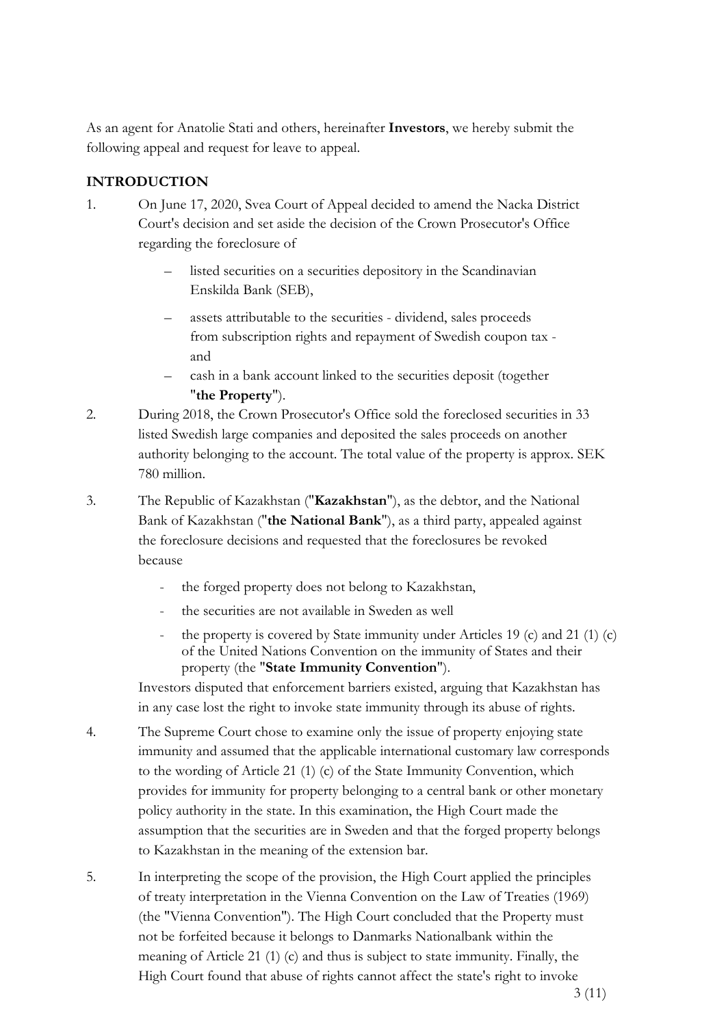As an agent for Anatolie Stati and others, hereinafter **Investors**, we hereby submit the following appeal and request for leave to appeal.

# **INTRODUCTION**

- 1. On June 17, 2020, Svea Court of Appeal decided to amend the Nacka District Court's decision and set aside the decision of the Crown Prosecutor's Office regarding the foreclosure of
	- listed securities on a securities depository in the Scandinavian Enskilda Bank (SEB),
	- assets attributable to the securities dividend, sales proceeds from subscription rights and repayment of Swedish coupon tax and
	- cash in a bank account linked to the securities deposit (together "**the Property**").
- 2. During 2018, the Crown Prosecutor's Office sold the foreclosed securities in 33 listed Swedish large companies and deposited the sales proceeds on another authority belonging to the account. The total value of the property is approx. SEK 780 million.
- 3. The Republic of Kazakhstan ("**Kazakhstan**"), as the debtor, and the National Bank of Kazakhstan ("**the National Bank**"), as a third party, appealed against the foreclosure decisions and requested that the foreclosures be revoked because
	- the forged property does not belong to Kazakhstan,
	- the securities are not available in Sweden as well
	- the property is covered by State immunity under Articles 19 (c) and 21 (1) (c) of the United Nations Convention on the immunity of States and their property (the "**State Immunity Convention**").

Investors disputed that enforcement barriers existed, arguing that Kazakhstan has in any case lost the right to invoke state immunity through its abuse of rights.

- 4. The Supreme Court chose to examine only the issue of property enjoying state immunity and assumed that the applicable international customary law corresponds to the wording of Article 21 (1) (c) of the State Immunity Convention, which provides for immunity for property belonging to a central bank or other monetary policy authority in the state. In this examination, the High Court made the assumption that the securities are in Sweden and that the forged property belongs to Kazakhstan in the meaning of the extension bar.
- 5. In interpreting the scope of the provision, the High Court applied the principles of treaty interpretation in the Vienna Convention on the Law of Treaties (1969) (the "Vienna Convention"). The High Court concluded that the Property must not be forfeited because it belongs to Danmarks Nationalbank within the meaning of Article 21 (1) (c) and thus is subject to state immunity. Finally, the High Court found that abuse of rights cannot affect the state's right to invoke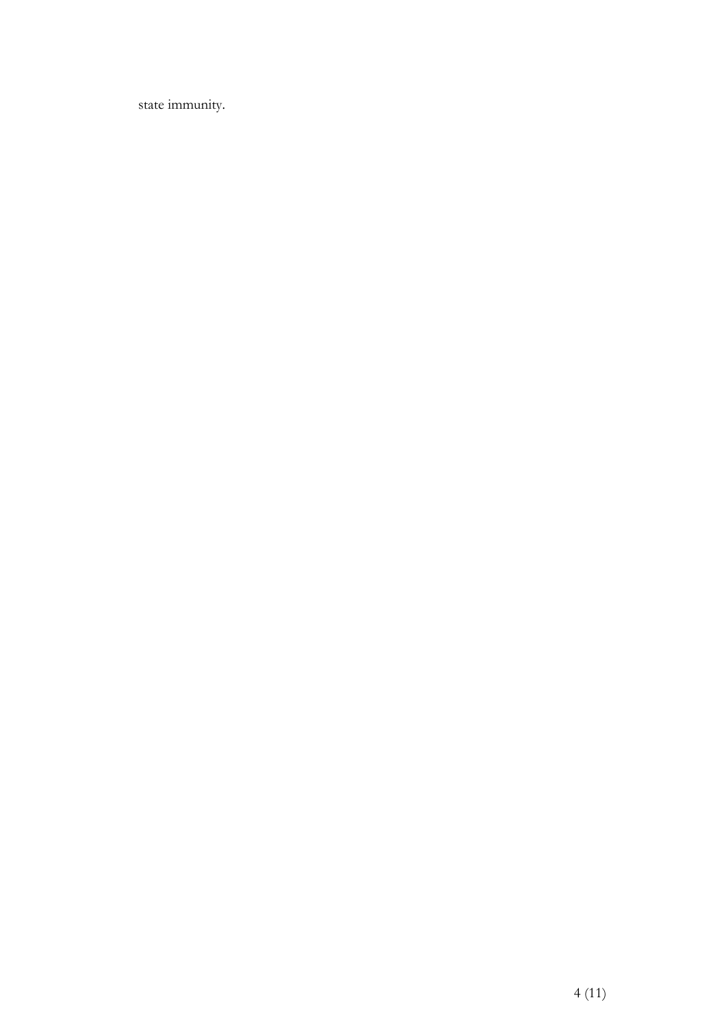state immunity.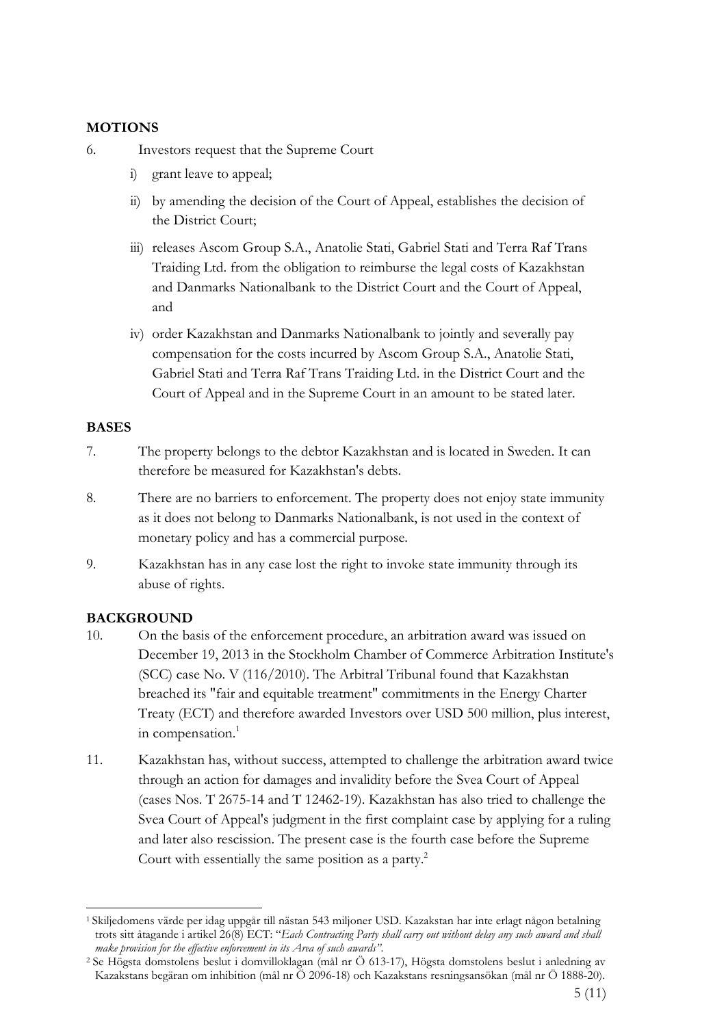### **MOTIONS**

- 6. Investors request that the Supreme Court
	- i) grant leave to appeal;
	- ii) by amending the decision of the Court of Appeal, establishes the decision of the District Court;
	- iii) releases Ascom Group S.A., Anatolie Stati, Gabriel Stati and Terra Raf Trans Traiding Ltd. from the obligation to reimburse the legal costs of Kazakhstan and Danmarks Nationalbank to the District Court and the Court of Appeal, and
	- iv) order Kazakhstan and Danmarks Nationalbank to jointly and severally pay compensation for the costs incurred by Ascom Group S.A., Anatolie Stati, Gabriel Stati and Terra Raf Trans Traiding Ltd. in the District Court and the Court of Appeal and in the Supreme Court in an amount to be stated later.

### **BASES**

- 7. The property belongs to the debtor Kazakhstan and is located in Sweden. It can therefore be measured for Kazakhstan's debts.
- 8. There are no barriers to enforcement. The property does not enjoy state immunity as it does not belong to Danmarks Nationalbank, is not used in the context of monetary policy and has a commercial purpose.
- 9. Kazakhstan has in any case lost the right to invoke state immunity through its abuse of rights.

## **BACKGROUND**

- 10. On the basis of the enforcement procedure, an arbitration award was issued on December 19, 2013 in the Stockholm Chamber of Commerce Arbitration Institute's (SCC) case No. V (116/2010). The Arbitral Tribunal found that Kazakhstan breached its "fair and equitable treatment" commitments in the Energy Charter Treaty (ECT) and therefore awarded Investors over USD 500 million, plus interest, in compensation.<sup>1</sup>
- 11. Kazakhstan has, without success, attempted to challenge the arbitration award twice through an action for damages and invalidity before the Svea Court of Appeal (cases Nos. T 2675-14 and T 12462-19). Kazakhstan has also tried to challenge the Svea Court of Appeal's judgment in the first complaint case by applying for a ruling and later also rescission. The present case is the fourth case before the Supreme Court with essentially the same position as a party.<sup>2</sup>

<sup>1</sup> Skiljedomens värde per idag uppgår till nästan 543 miljoner USD. Kazakstan har inte erlagt någon betalning trots sitt åtagande i artikel 26(8) ECT: "*Each Contracting Party shall carry out without delay any such award and shall make provision for the effective enforcement in its Area of such awards"*.

<sup>2</sup> Se Högsta domstolens beslut i domvilloklagan (mål nr Ö 613-17), Högsta domstolens beslut i anledning av Kazakstans begäran om inhibition (mål nr Ö 2096-18) och Kazakstans resningsansökan (mål nr Ö 1888-20).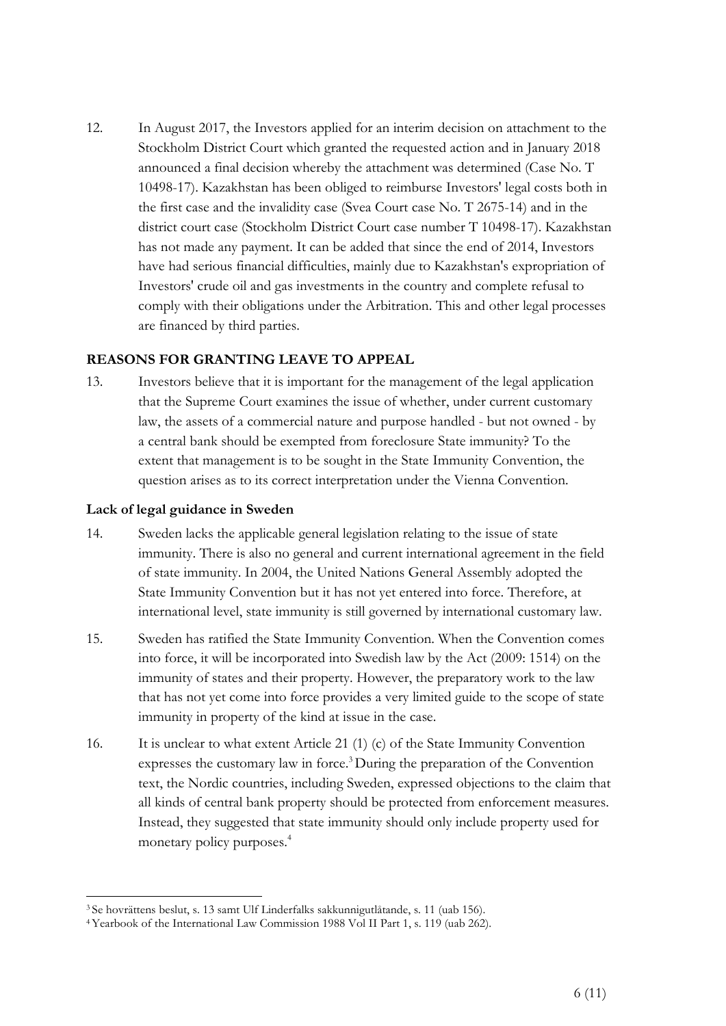12. In August 2017, the Investors applied for an interim decision on attachment to the Stockholm District Court which granted the requested action and in January 2018 announced a final decision whereby the attachment was determined (Case No. T 10498-17). Kazakhstan has been obliged to reimburse Investors' legal costs both in the first case and the invalidity case (Svea Court case No. T 2675-14) and in the district court case (Stockholm District Court case number T 10498-17). Kazakhstan has not made any payment. It can be added that since the end of 2014, Investors have had serious financial difficulties, mainly due to Kazakhstan's expropriation of Investors' crude oil and gas investments in the country and complete refusal to comply with their obligations under the Arbitration. This and other legal processes are financed by third parties.

#### **REASONS FOR GRANTING LEAVE TO APPEAL**

13. Investors believe that it is important for the management of the legal application that the Supreme Court examines the issue of whether, under current customary law, the assets of a commercial nature and purpose handled - but not owned - by a central bank should be exempted from foreclosure State immunity? To the extent that management is to be sought in the State Immunity Convention, the question arises as to its correct interpretation under the Vienna Convention.

#### **Lack of legal guidance in Sweden**

- 14. Sweden lacks the applicable general legislation relating to the issue of state immunity. There is also no general and current international agreement in the field of state immunity. In 2004, the United Nations General Assembly adopted the State Immunity Convention but it has not yet entered into force. Therefore, at international level, state immunity is still governed by international customary law.
- 15. Sweden has ratified the State Immunity Convention. When the Convention comes into force, it will be incorporated into Swedish law by the Act (2009: 1514) on the immunity of states and their property. However, the preparatory work to the law that has not yet come into force provides a very limited guide to the scope of state immunity in property of the kind at issue in the case.
- 16. It is unclear to what extent Article 21 (1) (c) of the State Immunity Convention expresses the customary law in force.3 During the preparation of the Convention text, the Nordic countries, including Sweden, expressed objections to the claim that all kinds of central bank property should be protected from enforcement measures. Instead, they suggested that state immunity should only include property used for monetary policy purposes.4

<sup>3</sup> Se hovrättens beslut, s. 13 samt Ulf Linderfalks sakkunnigutlåtande, s. 11 (uab 156).

<sup>4</sup> Yearbook of the International Law Commission 1988 Vol II Part 1, s. 119 (uab 262).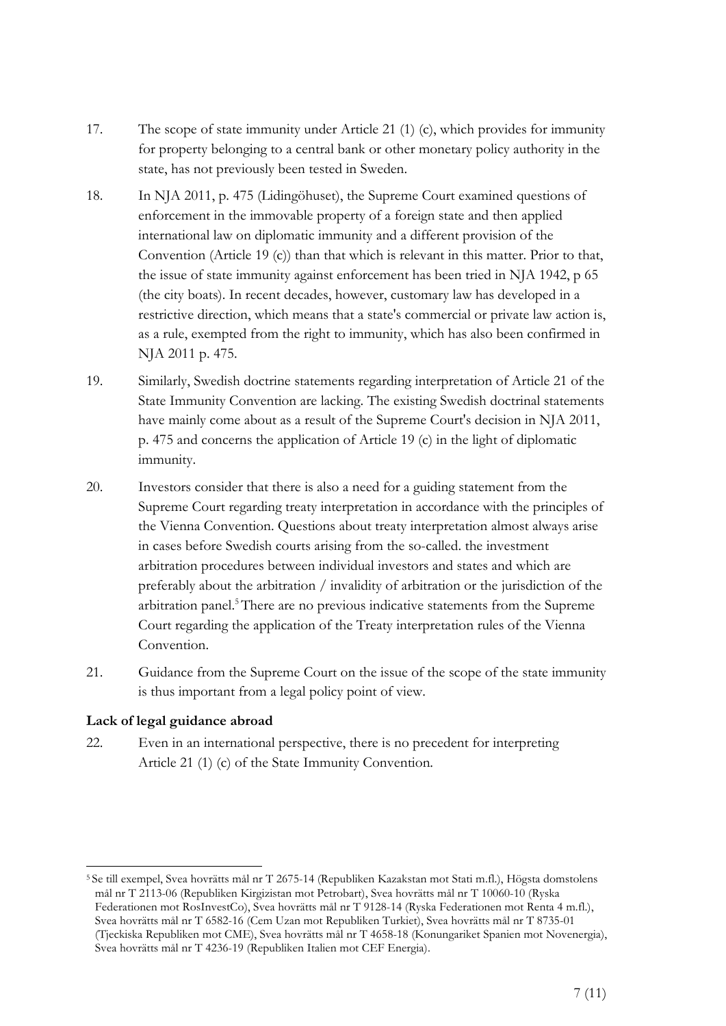- 17. The scope of state immunity under Article 21 (1) (c), which provides for immunity for property belonging to a central bank or other monetary policy authority in the state, has not previously been tested in Sweden.
- 18. In NJA 2011, p. 475 (Lidingöhuset), the Supreme Court examined questions of enforcement in the immovable property of a foreign state and then applied international law on diplomatic immunity and a different provision of the Convention (Article 19 (c)) than that which is relevant in this matter. Prior to that, the issue of state immunity against enforcement has been tried in NJA 1942, p 65 (the city boats). In recent decades, however, customary law has developed in a restrictive direction, which means that a state's commercial or private law action is, as a rule, exempted from the right to immunity, which has also been confirmed in NJA 2011 p. 475.
- 19. Similarly, Swedish doctrine statements regarding interpretation of Article 21 of the State Immunity Convention are lacking. The existing Swedish doctrinal statements have mainly come about as a result of the Supreme Court's decision in NJA 2011, p. 475 and concerns the application of Article 19 (c) in the light of diplomatic immunity.
- 20. Investors consider that there is also a need for a guiding statement from the Supreme Court regarding treaty interpretation in accordance with the principles of the Vienna Convention. Questions about treaty interpretation almost always arise in cases before Swedish courts arising from the so-called. the investment arbitration procedures between individual investors and states and which are preferably about the arbitration / invalidity of arbitration or the jurisdiction of the arbitration panel.5 There are no previous indicative statements from the Supreme Court regarding the application of the Treaty interpretation rules of the Vienna Convention.
- 21. Guidance from the Supreme Court on the issue of the scope of the state immunity is thus important from a legal policy point of view.

## **Lack of legal guidance abroad**

22. Even in an international perspective, there is no precedent for interpreting Article 21 (1) (c) of the State Immunity Convention.

<sup>5</sup> Se till exempel, Svea hovrätts mål nr T 2675-14 (Republiken Kazakstan mot Stati m.fl.), Högsta domstolens mål nr T 2113-06 (Republiken Kirgizistan mot Petrobart), Svea hovrätts mål nr T 10060-10 (Ryska Federationen mot RosInvestCo), Svea hovrätts mål nr T 9128-14 (Ryska Federationen mot Renta 4 m.fl.), Svea hovrätts mål nr T 6582-16 (Cem Uzan mot Republiken Turkiet), Svea hovrätts mål nr T 8735-01 (Tjeckiska Republiken mot CME), Svea hovrätts mål nr T 4658-18 (Konungariket Spanien mot Novenergia), Svea hovrätts mål nr T 4236-19 (Republiken Italien mot CEF Energia).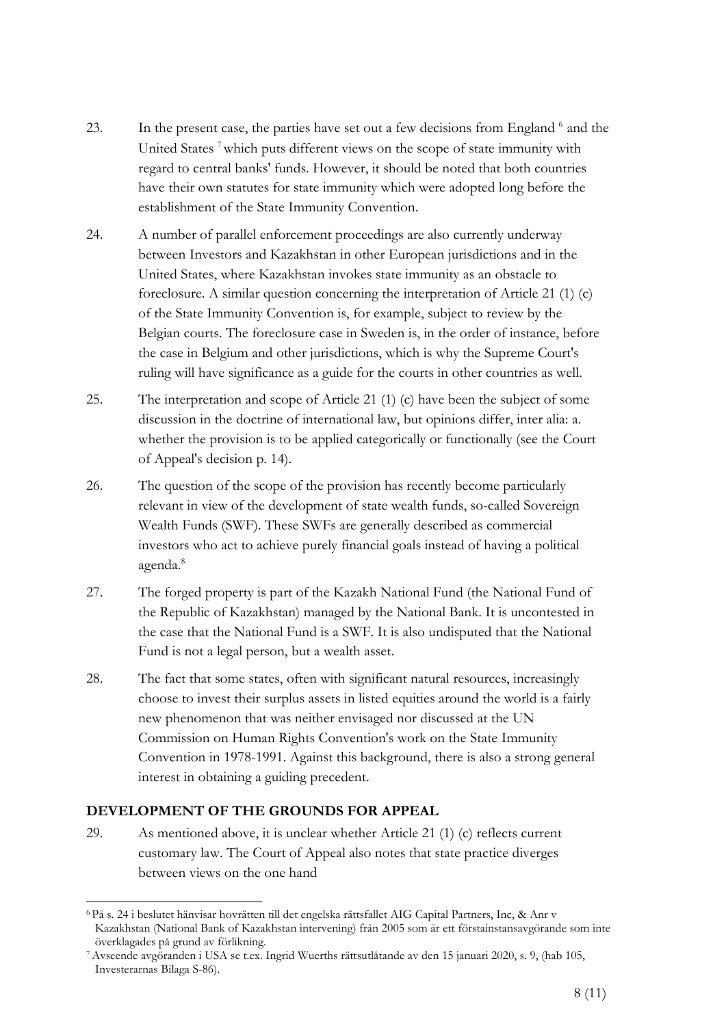- 23. In the present case, the parties have set out a few decisions from England <sup>6</sup> and the United States<sup>7</sup> which puts different views on the scope of state immunity with regard to central banks' funds. However, it should be noted that both countries have their own statutes for state immunity which were adopted long before the establishment of the State Immunity Convention.
- 24. A number of parallel enforcement proceedings are also currently underway between Investors and Kazakhstan in other European jurisdictions and in the United States, where Kazakhstan invokes state immunity as an obstacle to foreclosure. A similar question concerning the interpretation of Article 21 (1) (c) of the State Immunity Convention is, for example, subject to review by the Belgian courts. The foreclosure case in Sweden is, in the order of instance, before the case in Belgium and other jurisdictions, which is why the Supreme Court's ruling will have significance as a guide for the courts in other countries as well.
- 25. The interpretation and scope of Article 21 (1) (c) have been the subject of some discussion in the doctrine of international law, but opinions differ, inter alia: a. whether the provision is to be applied categorically or functionally (see the Court of Appeal's decision p. 14).
- 26. The question of the scope of the provision has recently become particularly relevant in view of the development of state wealth funds, so-called Sovereign Wealth Funds (SWF). These SWFs are generally described as commercial investors who act to achieve purely financial goals instead of having a political agenda.<sup>8</sup>
- 27. The forged property is part of the Kazakh National Fund (the National Fund of the Republic of Kazakhstan) managed by the National Bank. It is uncontested in the case that the National Fund is a SWF. It is also undisputed that the National Fund is not a legal person, but a wealth asset.
- 28. The fact that some states, often with significant natural resources, increasingly choose to invest their surplus assets in listed equities around the world is a fairly new phenomenon that was neither envisaged nor discussed at the UN Commission on Human Rights Convention's work on the State Immunity Convention in 1978-1991. Against this background, there is also a strong general interest in obtaining a guiding precedent.

## **DEVELOPMENT OF THE GROUNDS FOR APPEAL**

29. As mentioned above, it is unclear whether Article 21 (1) (c) reflects current customary law. The Court of Appeal also notes that state practice diverges between views on the one hand

<sup>6</sup> På s. 24 i beslutet hänvisar hovrätten till det engelska rättsfallet AIG Capital Partners, Inc, & Anr v Kazakhstan (National Bank of Kazakhstan intervening) från 2005 som är ett förstainstansavgörande som inte överklagades på grund av förlikning.

<sup>7</sup> Avseende avgöranden i USA se t.ex. Ingrid Wuerths rättsutlåtande av den 15 januari 2020, s. 9, (hab 105, Investerarnas Bilaga S-86).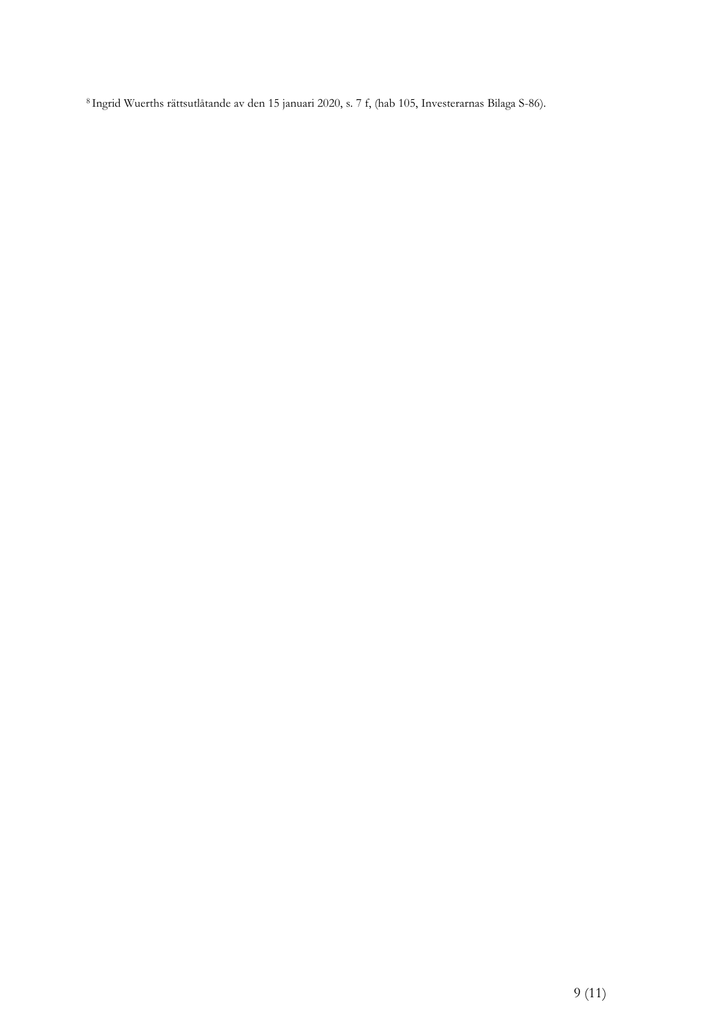8 Ingrid Wuerths rättsutlåtande av den 15 januari 2020, s. 7 f, (hab 105, Investerarnas Bilaga S-86).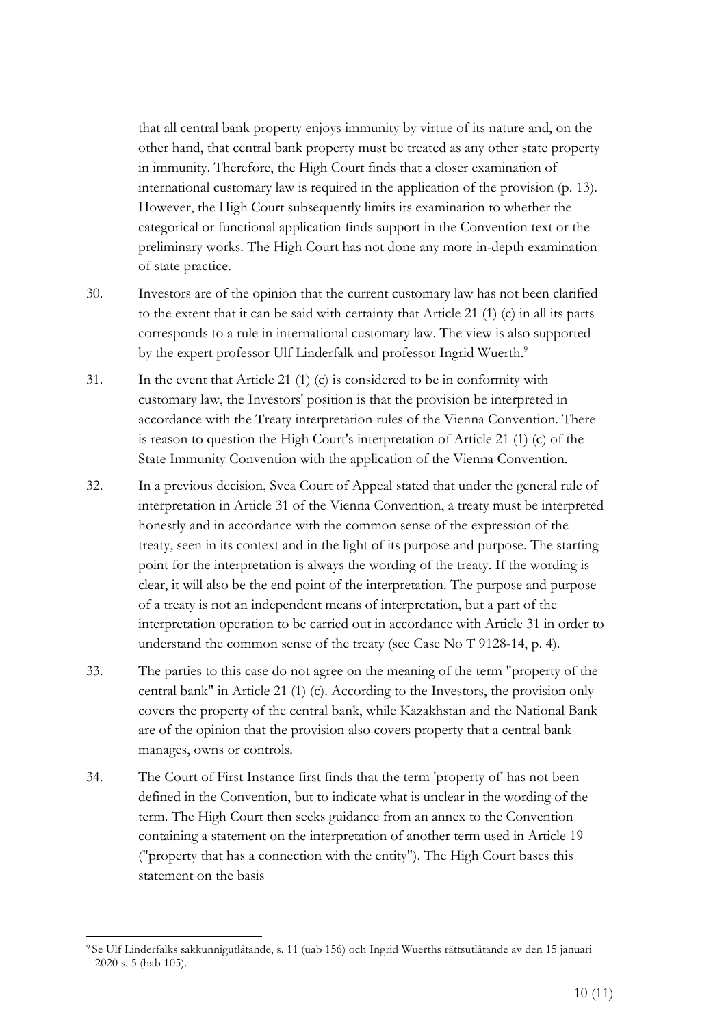that all central bank property enjoys immunity by virtue of its nature and, on the other hand, that central bank property must be treated as any other state property in immunity. Therefore, the High Court finds that a closer examination of international customary law is required in the application of the provision (p. 13). However, the High Court subsequently limits its examination to whether the categorical or functional application finds support in the Convention text or the preliminary works. The High Court has not done any more in-depth examination of state practice.

- 30. Investors are of the opinion that the current customary law has not been clarified to the extent that it can be said with certainty that Article 21 (1) (c) in all its parts corresponds to a rule in international customary law. The view is also supported by the expert professor Ulf Linderfalk and professor Ingrid Wuerth.<sup>9</sup>
- 31. In the event that Article 21 (1) (c) is considered to be in conformity with customary law, the Investors' position is that the provision be interpreted in accordance with the Treaty interpretation rules of the Vienna Convention. There is reason to question the High Court's interpretation of Article 21 (1) (c) of the State Immunity Convention with the application of the Vienna Convention.
- 32. In a previous decision, Svea Court of Appeal stated that under the general rule of interpretation in Article 31 of the Vienna Convention, a treaty must be interpreted honestly and in accordance with the common sense of the expression of the treaty, seen in its context and in the light of its purpose and purpose. The starting point for the interpretation is always the wording of the treaty. If the wording is clear, it will also be the end point of the interpretation. The purpose and purpose of a treaty is not an independent means of interpretation, but a part of the interpretation operation to be carried out in accordance with Article 31 in order to understand the common sense of the treaty (see Case No T 9128-14, p. 4).
- 33. The parties to this case do not agree on the meaning of the term "property of the central bank" in Article 21 (1) (c). According to the Investors, the provision only covers the property of the central bank, while Kazakhstan and the National Bank are of the opinion that the provision also covers property that a central bank manages, owns or controls.
- 34. The Court of First Instance first finds that the term 'property of' has not been defined in the Convention, but to indicate what is unclear in the wording of the term. The High Court then seeks guidance from an annex to the Convention containing a statement on the interpretation of another term used in Article 19 ("property that has a connection with the entity"). The High Court bases this statement on the basis

<sup>9</sup> Se Ulf Linderfalks sakkunnigutlåtande, s. 11 (uab 156) och Ingrid Wuerths rättsutlåtande av den 15 januari 2020 s. 5 (hab 105).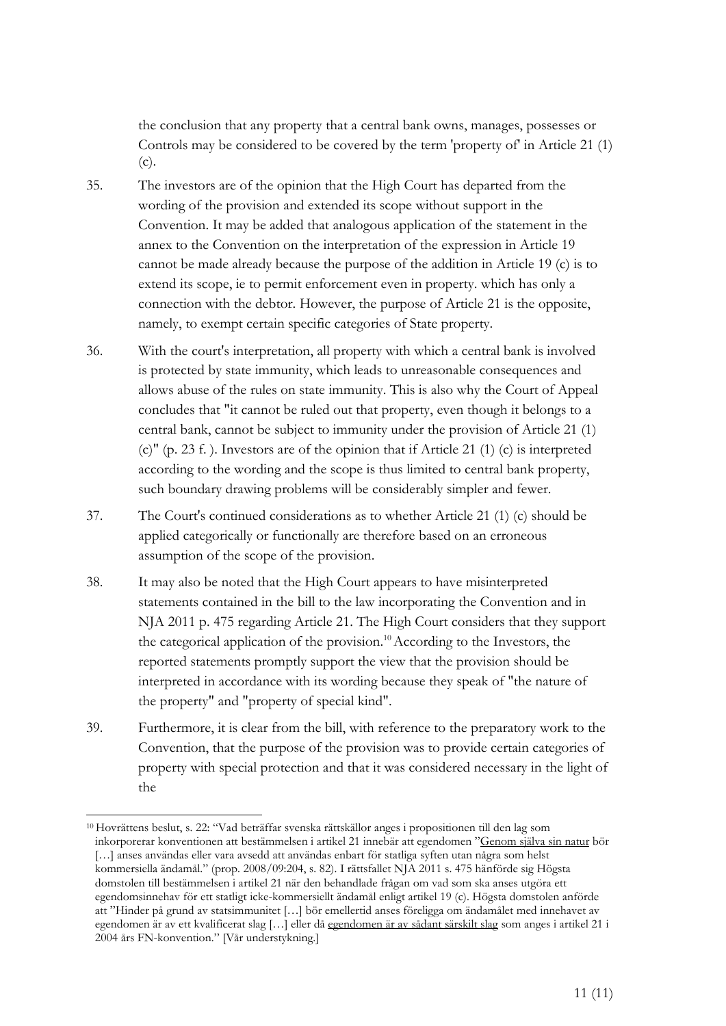the conclusion that any property that a central bank owns, manages, possesses or Controls may be considered to be covered by the term 'property of' in Article 21 (1) (c).

- 35. The investors are of the opinion that the High Court has departed from the wording of the provision and extended its scope without support in the Convention. It may be added that analogous application of the statement in the annex to the Convention on the interpretation of the expression in Article 19 cannot be made already because the purpose of the addition in Article 19 (c) is to extend its scope, ie to permit enforcement even in property. which has only a connection with the debtor. However, the purpose of Article 21 is the opposite, namely, to exempt certain specific categories of State property.
- 36. With the court's interpretation, all property with which a central bank is involved is protected by state immunity, which leads to unreasonable consequences and allows abuse of the rules on state immunity. This is also why the Court of Appeal concludes that "it cannot be ruled out that property, even though it belongs to a central bank, cannot be subject to immunity under the provision of Article 21 (1) (c)" (p. 23 f. ). Investors are of the opinion that if Article 21 (1) (c) is interpreted according to the wording and the scope is thus limited to central bank property, such boundary drawing problems will be considerably simpler and fewer.
- 37. The Court's continued considerations as to whether Article 21 (1) (c) should be applied categorically or functionally are therefore based on an erroneous assumption of the scope of the provision.
- 38. It may also be noted that the High Court appears to have misinterpreted statements contained in the bill to the law incorporating the Convention and in NJA 2011 p. 475 regarding Article 21. The High Court considers that they support the categorical application of the provision.<sup>10</sup> According to the Investors, the reported statements promptly support the view that the provision should be interpreted in accordance with its wording because they speak of "the nature of the property" and "property of special kind".
- 39. Furthermore, it is clear from the bill, with reference to the preparatory work to the Convention, that the purpose of the provision was to provide certain categories of property with special protection and that it was considered necessary in the light of the

<sup>10</sup> Hovrättens beslut, s. 22: "Vad beträffar svenska rättskällor anges i propositionen till den lag som inkorporerar konventionen att bestämmelsen i artikel 21 innebär att egendomen "Genom själva sin natur bör [...] anses användas eller vara avsedd att användas enbart för statliga syften utan några som helst kommersiella ändamål." (prop. 2008/09:204, s. 82). I rättsfallet NJA 2011 s. 475 hänförde sig Högsta domstolen till bestämmelsen i artikel 21 när den behandlade frågan om vad som ska anses utgöra ett egendomsinnehav för ett statligt icke-kommersiellt ändamål enligt artikel 19 (c). Högsta domstolen anförde att "Hinder på grund av statsimmunitet […] bör emellertid anses föreligga om ändamålet med innehavet av egendomen är av ett kvalificerat slag […] eller då egendomen är av sådant särskilt slag som anges i artikel 21 i 2004 års FN-konvention." [Vår understykning.]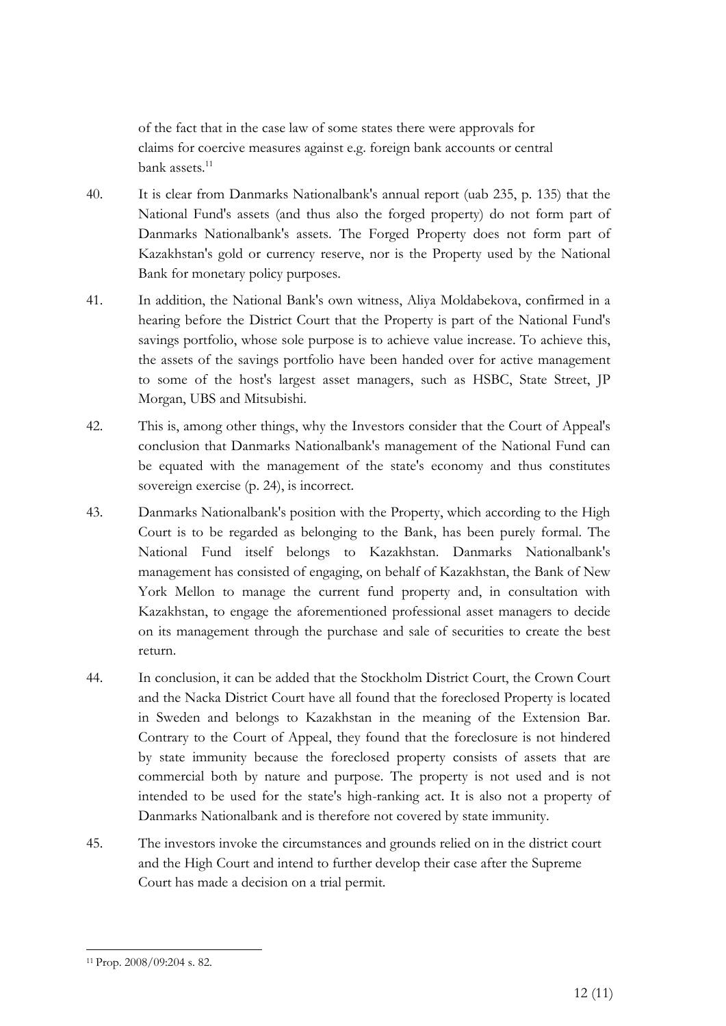of the fact that in the case law of some states there were approvals for claims for coercive measures against e.g. foreign bank accounts or central bank assets.<sup>11</sup>

- 40. It is clear from Danmarks Nationalbank's annual report (uab 235, p. 135) that the National Fund's assets (and thus also the forged property) do not form part of Danmarks Nationalbank's assets. The Forged Property does not form part of Kazakhstan's gold or currency reserve, nor is the Property used by the National Bank for monetary policy purposes.
- 41. In addition, the National Bank's own witness, Aliya Moldabekova, confirmed in a hearing before the District Court that the Property is part of the National Fund's savings portfolio, whose sole purpose is to achieve value increase. To achieve this, the assets of the savings portfolio have been handed over for active management to some of the host's largest asset managers, such as HSBC, State Street, JP Morgan, UBS and Mitsubishi.
- 42. This is, among other things, why the Investors consider that the Court of Appeal's conclusion that Danmarks Nationalbank's management of the National Fund can be equated with the management of the state's economy and thus constitutes sovereign exercise (p. 24), is incorrect.
- 43. Danmarks Nationalbank's position with the Property, which according to the High Court is to be regarded as belonging to the Bank, has been purely formal. The National Fund itself belongs to Kazakhstan. Danmarks Nationalbank's management has consisted of engaging, on behalf of Kazakhstan, the Bank of New York Mellon to manage the current fund property and, in consultation with Kazakhstan, to engage the aforementioned professional asset managers to decide on its management through the purchase and sale of securities to create the best return.
- 44. In conclusion, it can be added that the Stockholm District Court, the Crown Court and the Nacka District Court have all found that the foreclosed Property is located in Sweden and belongs to Kazakhstan in the meaning of the Extension Bar. Contrary to the Court of Appeal, they found that the foreclosure is not hindered by state immunity because the foreclosed property consists of assets that are commercial both by nature and purpose. The property is not used and is not intended to be used for the state's high-ranking act. It is also not a property of Danmarks Nationalbank and is therefore not covered by state immunity.
- 45. The investors invoke the circumstances and grounds relied on in the district court and the High Court and intend to further develop their case after the Supreme Court has made a decision on a trial permit.

<sup>11</sup> Prop. 2008/09:204 s. 82.